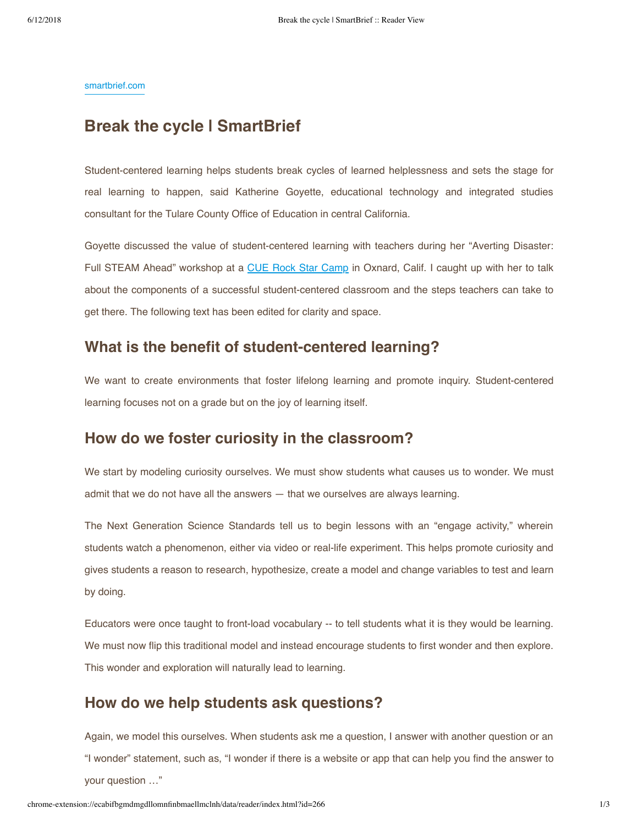[smartbrief.com](http://smartbrief.com/original/2017/09/break-cycle)

# **Break the cycle | SmartBrief**

Student-centered learning helps students break cycles of learned helplessness and sets the stage for real learning to happen, said Katherine Goyette, educational technology and integrated studies consultant for the Tulare County Office of Education in central California.

Goyette discussed the value of student-centered learning with teachers during her "Averting Disaster: Full STEAM Ahead" workshop at a [CUE Rock Star Camp](http://www.cue.org/rockstar) in Oxnard, Calif. I caught up with her to talk about the components of a successful student-centered classroom and the steps teachers can take to get there. The following text has been edited for clarity and space.

# **What is the benefit of student-centered learning?**

We want to create environments that foster lifelong learning and promote inquiry. Student-centered learning focuses not on a grade but on the joy of learning itself.

### **How do we foster curiosity in the classroom?**

We start by modeling curiosity ourselves. We must show students what causes us to wonder. We must admit that we do not have all the answers — that we ourselves are always learning.

The Next Generation Science Standards tell us to begin lessons with an "engage activity," wherein students watch a phenomenon, either via video or real-life experiment. This helps promote curiosity and gives students a reason to research, hypothesize, create a model and change variables to test and learn by doing.

Educators were once taught to front-load vocabulary -- to tell students what it is they would be learning. We must now flip this traditional model and instead encourage students to first wonder and then explore. This wonder and exploration will naturally lead to learning.

# **How do we help students ask questions?**

Again, we model this ourselves. When students ask me a question, I answer with another question or an "I wonder" statement, such as, "I wonder if there is a website or app that can help you find the answer to your question …"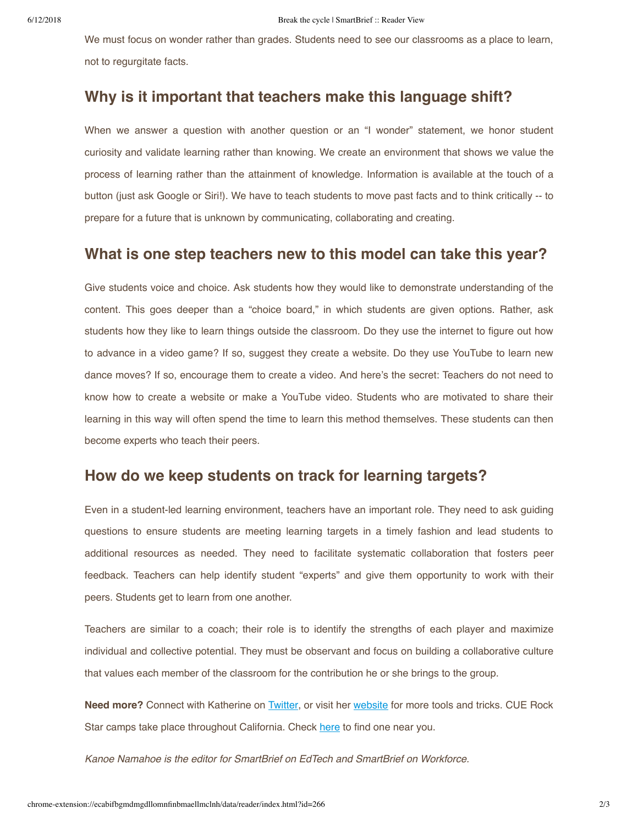We must focus on wonder rather than grades. Students need to see our classrooms as a place to learn, not to regurgitate facts.

### **Why is it important that teachers make this language shift?**

When we answer a question with another question or an "I wonder" statement, we honor student curiosity and validate learning rather than knowing. We create an environment that shows we value the process of learning rather than the attainment of knowledge. Information is available at the touch of a button (just ask Google or Siri!). We have to teach students to move past facts and to think critically -- to prepare for a future that is unknown by communicating, collaborating and creating.

# **What is one step teachers new to this model can take this year?**

Give students voice and choice. Ask students how they would like to demonstrate understanding of the content. This goes deeper than a "choice board," in which students are given options. Rather, ask students how they like to learn things outside the classroom. Do they use the internet to figure out how to advance in a video game? If so, suggest they create a website. Do they use YouTube to learn new dance moves? If so, encourage them to create a video. And here's the secret: Teachers do not need to know how to create a website or make a YouTube video. Students who are motivated to share their learning in this way will often spend the time to learn this method themselves. These students can then become experts who teach their peers.

### **How do we keep students on track for learning targets?**

Even in a student-led learning environment, teachers have an important role. They need to ask guiding questions to ensure students are meeting learning targets in a timely fashion and lead students to additional resources as needed. They need to facilitate systematic collaboration that fosters peer feedback. Teachers can help identify student "experts" and give them opportunity to work with their peers. Students get to learn from one another.

Teachers are similar to a coach; their role is to identify the strengths of each player and maximize individual and collective potential. They must be observant and focus on building a collaborative culture that values each member of the classroom for the contribution he or she brings to the group.

**Need more?** Connect with Katherine on [Twitter](https://twitter.com/kat_goyette), or visit her [website](https://www.wonderexplorelearn.com/) for more tools and tricks. CUE Rock Star camps take place throughout California. Check [here](http://www.cue.org/rockstar) to find one near you.

*Kanoe Namahoe is the editor for SmartBrief on EdTech and SmartBrief on Workforce.*